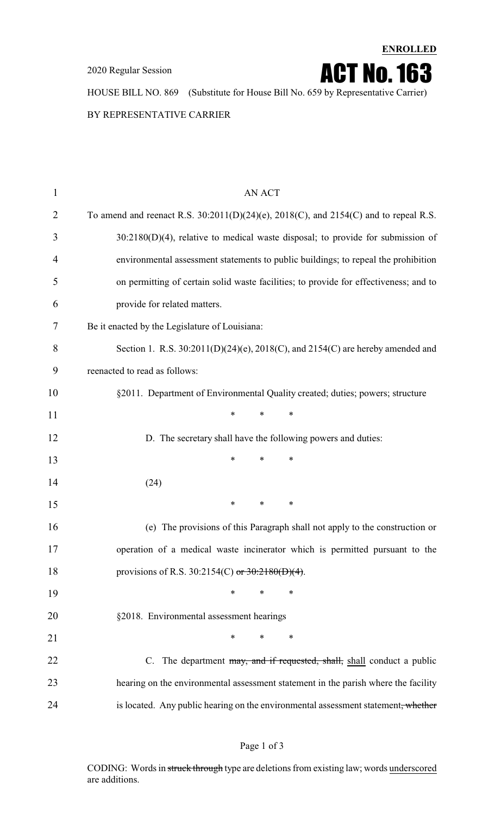2020 Regular Session

**ENROLLED** ACT No.163

HOUSE BILL NO. 869 (Substitute for House Bill No. 659 by Representative Carrier)

BY REPRESENTATIVE CARRIER

| $\mathbf{1}$ | <b>AN ACT</b>                                                                                |
|--------------|----------------------------------------------------------------------------------------------|
| 2            | To amend and reenact R.S. $30:2011(D)(24)(e)$ , $2018(C)$ , and $2154(C)$ and to repeal R.S. |
| 3            | $30:2180(D)(4)$ , relative to medical waste disposal; to provide for submission of           |
| 4            | environmental assessment statements to public buildings; to repeal the prohibition           |
| 5            | on permitting of certain solid waste facilities; to provide for effectiveness; and to        |
| 6            | provide for related matters.                                                                 |
| 7            | Be it enacted by the Legislature of Louisiana:                                               |
| 8            | Section 1. R.S. $30:2011(D)(24)(e)$ , $2018(C)$ , and $2154(C)$ are hereby amended and       |
| 9            | reenacted to read as follows:                                                                |
| 10           | §2011. Department of Environmental Quality created; duties; powers; structure                |
| 11           | $\ast$<br>*<br>∗                                                                             |
| 12           | D. The secretary shall have the following powers and duties:                                 |
| 13           | $\ast$<br>*<br>∗                                                                             |
| 14           | (24)                                                                                         |
| 15           | *<br>$\ast$<br>$\ast$                                                                        |
| 16           | (e) The provisions of this Paragraph shall not apply to the construction or                  |
| 17           | operation of a medical waste incinerator which is permitted pursuant to the                  |
| 18           | provisions of R.S. 30:2154(C) or $30:2180(D)(4)$ .                                           |
| 19           | $\ast$<br>∗<br>∗                                                                             |
| 20           | §2018. Environmental assessment hearings                                                     |
| 21           | *<br>$\ast$<br>∗                                                                             |
| 22           | C. The department may, and if requested, shall, shall conduct a public                       |
| 23           | hearing on the environmental assessment statement in the parish where the facility           |
| 24           | is located. Any public hearing on the environmental assessment statement, whether            |
|              |                                                                                              |

CODING: Words in struck through type are deletions from existing law; words underscored are additions.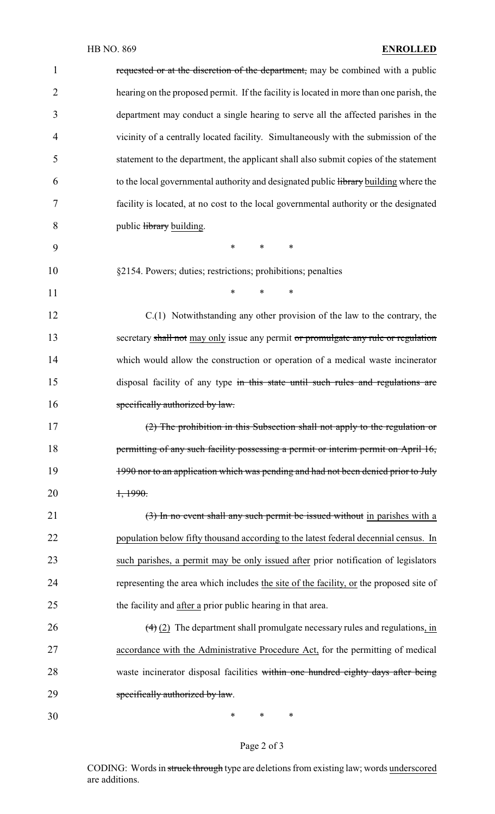## HB NO. 869 **ENROLLED**

| $\mathbf{1}$   | requested or at the discretion of the department, may be combined with a public                |
|----------------|------------------------------------------------------------------------------------------------|
| $\overline{2}$ | hearing on the proposed permit. If the facility is located in more than one parish, the        |
| 3              | department may conduct a single hearing to serve all the affected parishes in the              |
| 4              | vicinity of a centrally located facility. Simultaneously with the submission of the            |
| 5              | statement to the department, the applicant shall also submit copies of the statement           |
| 6              | to the local governmental authority and designated public library building where the           |
| 7              | facility is located, at no cost to the local governmental authority or the designated          |
| 8              | public library building.                                                                       |
| 9              | $\ast$<br>$\ast$<br>$\ast$                                                                     |
| 10             | §2154. Powers; duties; restrictions; prohibitions; penalties                                   |
| 11             | $\ast$<br>$\ast$<br>$\ast$                                                                     |
| 12             | C.(1) Notwithstanding any other provision of the law to the contrary, the                      |
| 13             | secretary shall not may only issue any permit or promulgate any rule or regulation             |
| 14             | which would allow the construction or operation of a medical waste incinerator                 |
| 15             | disposal facility of any type in this state until such rules and regulations are               |
| 16             | specifically authorized by law.                                                                |
| 17             | (2) The prohibition in this Subsection shall not apply to the regulation or                    |
| 18             | permitting of any such facility possessing a permit or interim permit on April 16,             |
| 19             | 1990 nor to an application which was pending and had not been denied prior to July             |
| 20             | 1,1990.                                                                                        |
| 21             | (3) In no event shall any such permit be issued without in parishes with a                     |
| 22             | population below fifty thousand according to the latest federal decennial census. In           |
| 23             | such parishes, a permit may be only issued after prior notification of legislators             |
| 24             | representing the area which includes the site of the facility, or the proposed site of         |
| 25             | the facility and after a prior public hearing in that area.                                    |
| 26             | $\left(\frac{4}{2}\right)$ The department shall promulgate necessary rules and regulations, in |
| 27             | accordance with the Administrative Procedure Act, for the permitting of medical                |
| 28             | waste incinerator disposal facilities within one hundred eighty days after being               |
| 29             | specifically authorized by law.                                                                |
| 30             | ∗<br>$\ast$<br>$\ast$                                                                          |

Page 2 of 3

CODING: Words in struck through type are deletions from existing law; words underscored are additions.